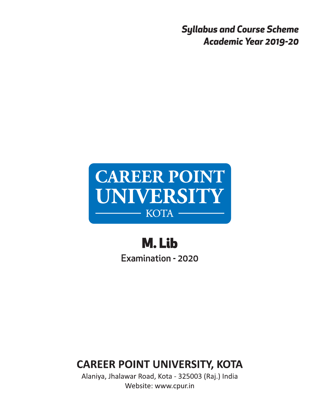**Syllabus and Course Scheme Academic Year 2019-20** 



M. Lib Examination - 2020

# **CAREER POINT UNIVERSITY, KOTA**

Alaniya, Jhalawar Road, Kota - 325003 (Raj.) India Website: www.cpur.in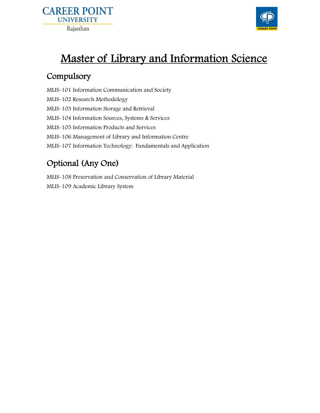



# Master of Library and Information Science

## Compulsory

MLIS-101 Information Communication and Society MLIS-102 Research Methodology MLIS-103 Information Storage and Retrieval MLIS-104 Information Sources, Systems & Services MLIS-105 Information Products and Services MLIS-106 Management of Library and Information Centre MLIS-107 Information Technology: Fundamentals and Application

# Optional (Any One)

MLIS-108 Preservation and Conservation of Library Material MLIS-109 Academic Library System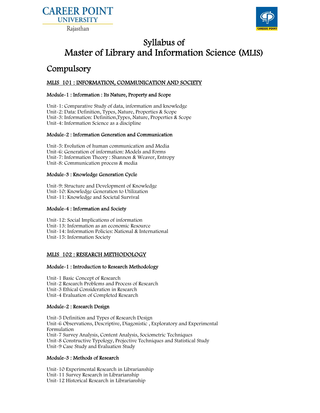



## Syllabus of Master of Library and Information Science (MLIS)

## Compulsory

## MLIS 101 : INFORMATION, COMMUNICATION AND SOCIETY

#### Module-1 : Information : Its Nature, Property and Scope

Unit-1: Comparative Study of data, information and knowledge Unit-2: Data: Definition, Types, Nature, Properties & Scope Unit-3: Information: Definition,Types, Nature, Properties & Scope Unit-4: Information Science as a discipline

### Module-2 : Information Generation and Communication

Unit-5: Evolution of human communication and Media Unit-6: Generation of information: Models and Forms Unit-7: Information Theory : Shannon & Weaver, Entropy Unit-8: Communication process & media

#### Module-3 : Knowledge Generation Cycle

Unit-9: Structure and Development of Knowledge Unit-10: Knowledge Generation to Utilization Unit-11: Knowledge and Societal Survival

#### Module-4 : Information and Society

Unit-12: Social Implications of information Unit-13: Information as an economic Resource Unit-14: Information Policies: National & International Unit-15: Information Society

## MLIS 102 : RESEARCH METHODOLOGY

#### Module-1 : Introduction to Research Methodology

Unit-1 Basic Concept of Research Unit-2 Research Problems and Process of Research Unit-3 Ethical Consideration in Research Unit-4 Evaluation of Completed Research

## Module-2 : Research Design

Unit-5 Definition and Types of Research Design Unit-6 Observations, Descriptive, Diagonistic , Exploratory and Experimental Formulation Unit-7 Survey Analysis, Content Analysis, Sociometric Techniques Unit-8 Constructive Typology, Projective Techniques and Statistical Study Unit-9 Case Study and Evaluation Study

#### Module-3 : Methods of Research

Unit-10 Experimental Research in Librarianship Unit-11 Survey Research in Librarianship Unit-12 Historical Research in Librarianship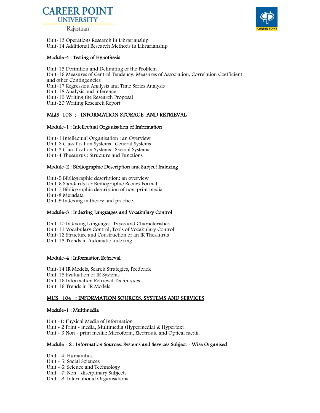

Rajasthan

Unit-13 Operations Research in Librarianship Unit-14 Additional Research Methods in Librarianship

#### Module-4 : Testing of Hypothesis

Unit-15 Definition and Delimiting of the Problem Unit-16 Measures of Central Tendency, Measures of Association, Correlation Coefficient and other Contingencies Unit-17 Regression Analysis and Time Series Analysis Unit-18 Analysis and Inference Unit-19 Writing the Research Proposal Unit-20 Writing Research Report

### MLIS 103 : INFORMATION STORAGE AND RETRIEVAL

#### Module-1 : Intellectual Organisation of Information

Unit-1 Intellectual Organisation : an Overview Unit-2 Classification Systems : General Systems Unit-3 Classification Systems : Special Systems Unit-4 Thesaurus : Structure and Functions

#### Module-2 : Bibliographic Description and Subject Indexing

Unit-5 Bibliographic description: an overview Unit-6 Standards for Bibliographic Record Format Unit-7 Bibliographic description of non-print media Unit-8 Metadata Unit-9 Indexing in theory and practice

#### Module-3 : Indexing Languages and Vocabulary Control

Unit-10 Indexing Languages: Types and Characteristics Unit-11 Vocabulary Control, Tools of Vocabulary Control Unit-12 Structure and Construction of an IR Thesaurus Unit-13 Trends in Automatic Indexing

#### Module-4 : Information Retrieval

Unit-14 IR Models, Search Strategies, Feedback Unit-15 Evaluation of IR Systems Unit-16 Information Retrieval Techniques Unit-16 Trends in IR Models

#### MLIS 104 : INFORMATION SOURCES, SYSTEMS AND SERVICES

#### Module-1 : Multimedia

Unit -1: Physical Media of Information Unit - 2 Print - media, Multimedia (Hypermedia) & Hypertext Unit - 3 Non - print media: Microform, Electronic and Optical media

#### Module - 2 : Information Sources. Systems and Services Subject - Wise Organised

Unit - 4: Humanities Unit - 5: Social Sciences Unit - 6: Science and Technology Unit - 7: Non - disciplinary Subjects Unit - 8: International Organisations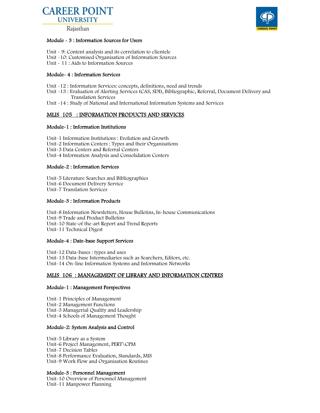

Rajasthan

#### Module - 3 : Information Sources for Users

- Unit 9: Content analysis and its correlation to clientele
- Unit -10: Customised Organisation of Information Sources
- Unit 11 : Aids to Information Sources

#### Module- 4 : Information Services

- Unit -12 : Information Services: concepts, definitions, need and trends
- Unit -13 : Evaluation of Alerting Services (CAS, SDI), Bibliographic, Referral, Document Delivery and Translation Services
- Unit -14 : Study of National and International Information Systems and Services

## MLIS 105 : INFORMATION PRODUCTS AND SERVICES

#### Module-1 : Information Institutions

Unit-1 Information Institutions : Evolution and Growth Unit-2 Information Centers : Types and their Organisations Unit-3 Data Centers and Referral Centers Unit-4 Information Analysis and Consolidation Centers

#### Module-2 : Information Services

Unit-5 Literature Searches and Bibliographies Unit-6 Document Delivery Service Unit-7 Translation Services

#### Module-3 : Information Products

Unit-8 Information Newsletters, House Bulletins, In-house Communications Unit-9 Trade and Product Bulletins Unit-10 State-of the-art Report and Trend Reports Unit-11 Technical Digest

#### Module-4 : Date-base Support Services

Unit-12 Data-bases : types and uses Unit-13 Data-base Intermediaries such as Searchers, Editors, etc. Unit-14 On-line Information Systems and Information Networks

## MLIS 106 : MANAGEMENT OF LIBRARY AND INFORMATION CENTRES

#### Module-1 : Management Perspectives

Unit-1 Principles of Management Unit-2 Management Functions Unit-3 Managerial Quality and Leadership Unit-4 Schools of Management Thought

#### Module-2: System Analysis and Control

Unit-5 Library as a System Unit-6 Project Management, PERT\CPM Unit-7 Decision Tables Unit-8 Performance Evaluation, Standards, MIS Unit-9 Work Flow and Organisation Routines

#### Module-3 : Personnel Management

Unit-10 Overview of Personnel Management Unit-11 Manpower Planning

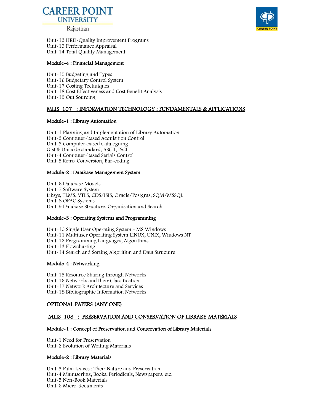

Rajasthan



Unit-12 HRD-Quality Improvement Programs Unit-13 Performance Appraisal Unit-14 Total Quality Management

#### Module-4 : Financial Management

Unit-15 Budgeting and Types Unit-16 Budgetary Control System Unit-17 Costing Techniques Unit-18 Cost Effectiveness and Cost Benefit Analysis Unit-19 Out Sourcing

#### MLIS 107 : INFORMATION TECHNOLOGY : FUNDAMENTALS & APPLICATIONS

#### Module-1 : Library Automation

Unit-1 Planning and Implementation of Library Automation Unit-2 Computer-based Acquisition Control Unit-3 Computer-based Cataloguing Gist & Unicode standard, ASCII, ISCII Unit-4 Computer-based Serials Control Unit-5 Retro-Conversion, Bar-coding

#### Module-2 : Database Management System

Unit-6 Database Models Unit-7 Software System Libsys, TLMS, VTLS, CDS/ISIS, Oracle/Postgras, SQM/MSSQL Unit-8 OPAC Systems Unit-9 Database Structure, Organisation and Search

#### Module-3 : Operating Systems and Programming

Unit-10 Single User Operating System - MS Windows Unit-11 Multiuser Operating System LINUX, UNIX, Windows NT Unit-12 Programming Languages; Algorithms Unit-13 Flowcharting Unit-14 Search and Sorting Algorithm and Data Structure

#### Module-4 : Networking

Unit-15 Resource Sharing through Networks Unit-16 Networks and their Classification Unit-17 Network Architecture and Services Unit-18 Bibliographic Information Networks

#### OPTIONAL PAPERS (ANY ONE)

#### MLIS 108 : PRESERVATION AND CONSERVATION OF LIBRARY MATERIALS

#### Module-1 : Concept of Preservation and Conservation of Library Materials

Unit-1 Need for Preservation Unit-2 Evolution of Writing Materials

#### Module-2 : Library Materials

Unit-3 Palm Leaves : Their Nature and Preservation Unit-4 Manuscripts, Books, Periodicals, Newspapers, etc. Unit-5 Non-Book Materials Unit-6 Micro-documents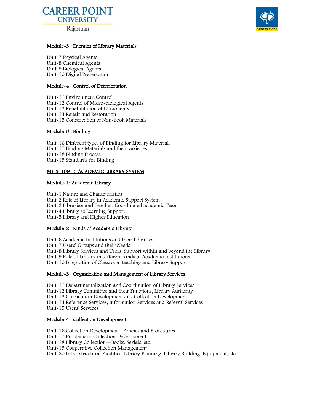# **CAREER POINT UNIVERSITY**

Rajasthan



#### Module-3 : Enemies of Library Materials

Unit-7 Physical Agents Unit-8 Chemical Agents Unit-9 Biological Agents Unit-10 Digital Preservation

#### Module-4 : Control of Deterioration

Unit-11 Environment Control Unit-12 Control of Micro-biological Agents Unit-13 Rehabilitation of Documents Unit-14 Repair and Restoration Unit-15 Conservation of Non-book Materials

#### Module-5 : Binding

Unit-16 Different types of Binding for Library Materials Unit-17 Binding Materials and their varieties Unit-18 Binding Process Unit-19 Standards for Binding

#### MLIS 109 : ACADEMIC LIBRARY SYSTEM

#### Module-1: Academic Library

Unit-1 Nature and Characteristics Unit-2 Role of Library in Academic Support System Unit-3 Librarian and Teacher, Coordinated academic Team Unit-4 Library as Learning Support Unit-5 Library and Higher Education

#### Module-2 : Kinds of Academic Library

Unit-6 Academic Institutions and their Libraries Unit-7 Users' Groups and their Needs Unit-8 Library Services and Users' Support within and beyond the Library Unit-9 Role of Library in different kinds of Academic Institutions Unit-10 Integration of Classroom teaching and Library Support

#### Module-3 : Organization and Management of Library Services

Unit-11 Departmentalization and Coordination of Library Services Unit-12 Library Committee and their Functions, Library Authority Unit-13 Curriculum Development and Collection Development Unit-14 Reference Services, Information Services and Referral Services Unit-15 Users' Services

#### Module-4 : Collection Development

Unit-16 Collection Development : Policies and Procedures Unit-17 Problems of Collection Development Unit-18 Library Collection—Books, Serials, etc. Unit-19 Cooperative Collection Management Unit-20 Infra-structural Facilities, Library Planning, Library Building, Equipment, etc.